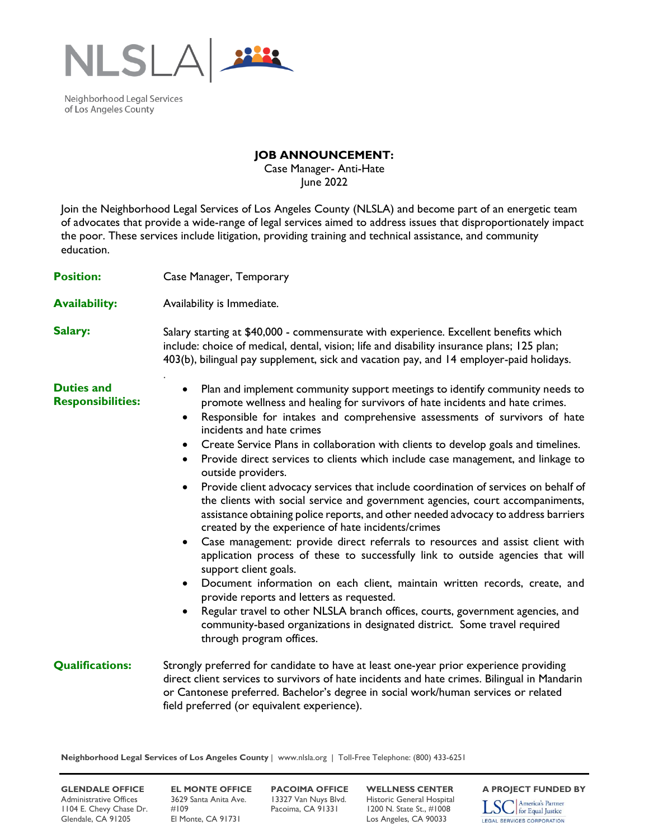

Neighborhood Legal Services of Los Angeles County

## **JOB ANNOUNCEMENT:**

Case Manager- Anti-Hate June 2022

Join the Neighborhood Legal Services of Los Angeles County (NLSLA) and become part of an energetic team of advocates that provide a wide-range of legal services aimed to address issues that disproportionately impact the poor. These services include litigation, providing training and technical assistance, and community education.

| <b>Position:</b>                              | Case Manager, Temporary                                                                                                                                                                                                                                                                                                                                                                                                                                                                                                                                                                                                                                                                                                                                                                                                                                                                                                                                                                                                                                                                                                                                                                                                                                                                                                                                                                                                   |
|-----------------------------------------------|---------------------------------------------------------------------------------------------------------------------------------------------------------------------------------------------------------------------------------------------------------------------------------------------------------------------------------------------------------------------------------------------------------------------------------------------------------------------------------------------------------------------------------------------------------------------------------------------------------------------------------------------------------------------------------------------------------------------------------------------------------------------------------------------------------------------------------------------------------------------------------------------------------------------------------------------------------------------------------------------------------------------------------------------------------------------------------------------------------------------------------------------------------------------------------------------------------------------------------------------------------------------------------------------------------------------------------------------------------------------------------------------------------------------------|
| <b>Availability:</b>                          | Availability is Immediate.                                                                                                                                                                                                                                                                                                                                                                                                                                                                                                                                                                                                                                                                                                                                                                                                                                                                                                                                                                                                                                                                                                                                                                                                                                                                                                                                                                                                |
| Salary:                                       | Salary starting at \$40,000 - commensurate with experience. Excellent benefits which<br>include: choice of medical, dental, vision; life and disability insurance plans; 125 plan;<br>403(b), bilingual pay supplement, sick and vacation pay, and 14 employer-paid holidays.                                                                                                                                                                                                                                                                                                                                                                                                                                                                                                                                                                                                                                                                                                                                                                                                                                                                                                                                                                                                                                                                                                                                             |
| <b>Duties and</b><br><b>Responsibilities:</b> | Plan and implement community support meetings to identify community needs to<br>$\bullet$<br>promote wellness and healing for survivors of hate incidents and hate crimes.<br>Responsible for intakes and comprehensive assessments of survivors of hate<br>$\bullet$<br>incidents and hate crimes<br>Create Service Plans in collaboration with clients to develop goals and timelines.<br>$\bullet$<br>Provide direct services to clients which include case management, and linkage to<br>$\bullet$<br>outside providers.<br>Provide client advocacy services that include coordination of services on behalf of<br>$\bullet$<br>the clients with social service and government agencies, court accompaniments,<br>assistance obtaining police reports, and other needed advocacy to address barriers<br>created by the experience of hate incidents/crimes<br>Case management: provide direct referrals to resources and assist client with<br>$\bullet$<br>application process of these to successfully link to outside agencies that will<br>support client goals.<br>Document information on each client, maintain written records, create, and<br>$\bullet$<br>provide reports and letters as requested.<br>Regular travel to other NLSLA branch offices, courts, government agencies, and<br>$\bullet$<br>community-based organizations in designated district. Some travel required<br>through program offices. |
| <b>Qualifications:</b>                        | Strongly preferred for candidate to have at least one-year prior experience providing<br>direct client services to survivors of hate incidents and hate crimes. Bilingual in Mandarin<br>or Cantonese preferred. Bachelor's degree in social work/human services or related<br>field preferred (or equivalent experience).                                                                                                                                                                                                                                                                                                                                                                                                                                                                                                                                                                                                                                                                                                                                                                                                                                                                                                                                                                                                                                                                                                |

**Neighborhood Legal Services of Los Angeles County** | www.nlsla.org | Toll-Free Telephone: (800) 433-6251

Administrative Offices 3629 Santa Anita Ave. 13327 Van Nuys Blvd. Historic General Hospital<br>1104 E. Chevy Chase Dr. #109 Pacoima, CA 91331 1200 N. State St., #1008 1104 E. Chevy Chase Dr. Glendale, CA 91205 El Monte, CA 91731 Los Angeles, CA 90033

**GLENDALE OFFICE EL MONTE OFFICE PACOIMA OFFICE WELLNESS CENTER A PROJECT FUNDED BY**